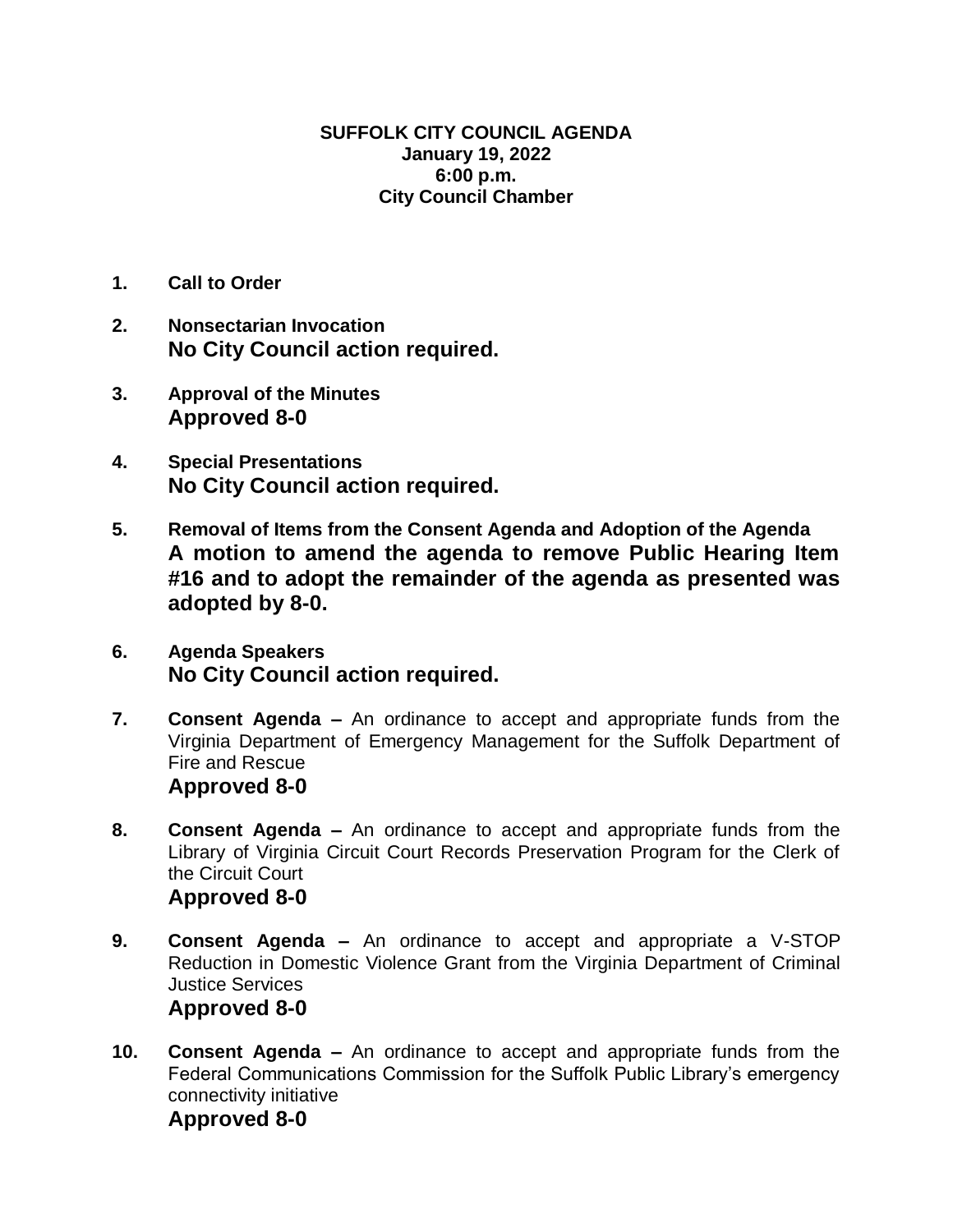## **SUFFOLK CITY COUNCIL AGENDA January 19, 2022 6:00 p.m. City Council Chamber**

- **1. Call to Order**
- **2. Nonsectarian Invocation No City Council action required.**
- **3. Approval of the Minutes Approved 8-0**
- **4. Special Presentations No City Council action required.**
- **5. Removal of Items from the Consent Agenda and Adoption of the Agenda A motion to amend the agenda to remove Public Hearing Item #16 and to adopt the remainder of the agenda as presented was adopted by 8-0.**
- **6. Agenda Speakers No City Council action required.**
- **7. Consent Agenda –** An ordinance to accept and appropriate funds from the Virginia Department of Emergency Management for the Suffolk Department of Fire and Rescue **Approved 8-0**
- **8. Consent Agenda –** An ordinance to accept and appropriate funds from the Library of Virginia Circuit Court Records Preservation Program for the Clerk of the Circuit Court **Approved 8-0**
- **9. Consent Agenda –** An ordinance to accept and appropriate a V-STOP Reduction in Domestic Violence Grant from the Virginia Department of Criminal Justice Services **Approved 8-0**
- **10. Consent Agenda –** An ordinance to accept and appropriate funds from the Federal Communications Commission for the Suffolk Public Library's emergency connectivity initiative **Approved 8-0**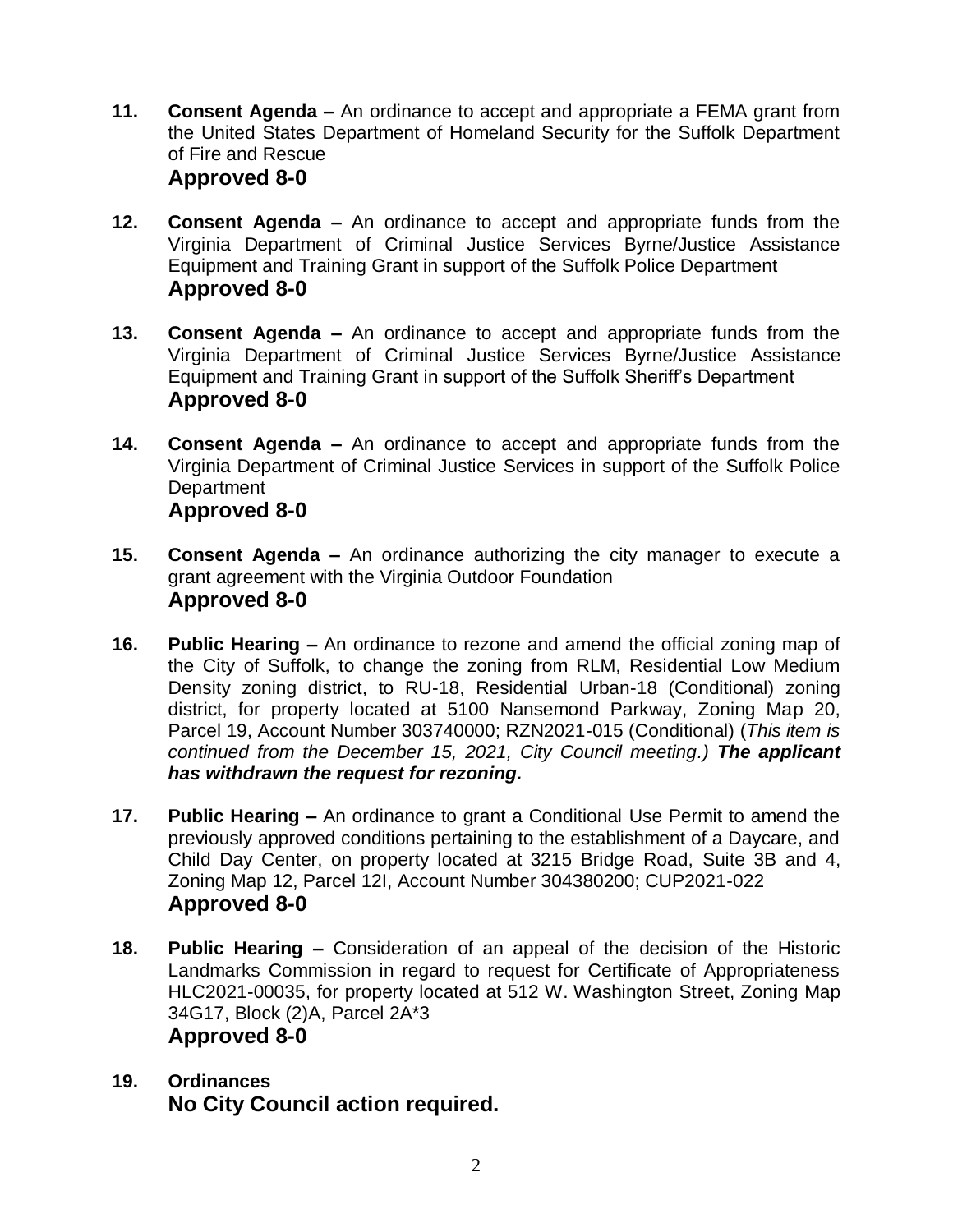- **11. Consent Agenda –** An ordinance to accept and appropriate a FEMA grant from the United States Department of Homeland Security for the Suffolk Department of Fire and Rescue **Approved 8-0**
- **12. Consent Agenda –** An ordinance to accept and appropriate funds from the Virginia Department of Criminal Justice Services Byrne/Justice Assistance Equipment and Training Grant in support of the Suffolk Police Department **Approved 8-0**
- **13. Consent Agenda –** An ordinance to accept and appropriate funds from the Virginia Department of Criminal Justice Services Byrne/Justice Assistance Equipment and Training Grant in support of the Suffolk Sheriff's Department **Approved 8-0**
- **14. Consent Agenda –** An ordinance to accept and appropriate funds from the Virginia Department of Criminal Justice Services in support of the Suffolk Police **Department Approved 8-0**
- **15. Consent Agenda –** An ordinance authorizing the city manager to execute a grant agreement with the Virginia Outdoor Foundation **Approved 8-0**
- **16. Public Hearing –** An ordinance to rezone and amend the official zoning map of the City of Suffolk, to change the zoning from RLM, Residential Low Medium Density zoning district, to RU-18, Residential Urban-18 (Conditional) zoning district, for property located at 5100 Nansemond Parkway, Zoning Map 20, Parcel 19, Account Number 303740000; RZN2021-015 (Conditional) (*This item is continued from the December 15, 2021, City Council meeting.) The applicant has withdrawn the request for rezoning.*
- **17. Public Hearing –** An ordinance to grant a Conditional Use Permit to amend the previously approved conditions pertaining to the establishment of a Daycare, and Child Day Center, on property located at 3215 Bridge Road, Suite 3B and 4, Zoning Map 12, Parcel 12I, Account Number 304380200; CUP2021-022 **Approved 8-0**
- **18. Public Hearing –** Consideration of an appeal of the decision of the Historic Landmarks Commission in regard to request for Certificate of Appropriateness HLC2021-00035, for property located at 512 W. Washington Street, Zoning Map 34G17, Block (2)A, Parcel 2A\*3 **Approved 8-0**
- **19. Ordinances No City Council action required.**